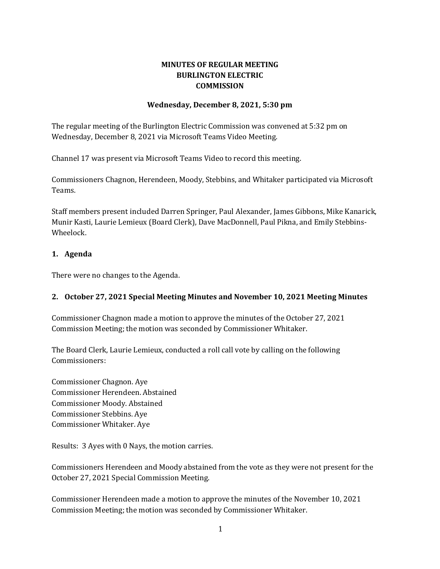# **MINUTES OF REGULAR MEETING BURLINGTON ELECTRIC COMMISSION**

### **Wednesday, December 8, 2021, 5:30 pm**

The regular meeting of the Burlington Electric Commission was convened at 5:32 pm on Wednesday, December 8, 2021 via Microsoft Teams Video Meeting.

Channel 17 was present via Microsoft Teams Video to record this meeting.

Commissioners Chagnon, Herendeen, Moody, Stebbins, and Whitaker participated via Microsoft Teams.

Staff members present included Darren Springer, Paul Alexander, James Gibbons, Mike Kanarick, Munir Kasti, Laurie Lemieux (Board Clerk), Dave MacDonnell, Paul Pikna, and Emily Stebbins-Wheelock.

### **1. Agenda**

There were no changes to the Agenda.

## **2. October 27, 2021 Special Meeting Minutes and November 10, 2021 Meeting Minutes**

Commissioner Chagnon made a motion to approve the minutes of the October 27, 2021 Commission Meeting; the motion was seconded by Commissioner Whitaker.

The Board Clerk, Laurie Lemieux, conducted a roll call vote by calling on the following Commissioners:

Commissioner Chagnon. Aye Commissioner Herendeen. Abstained Commissioner Moody. Abstained Commissioner Stebbins. Aye Commissioner Whitaker. Aye

Results: 3 Ayes with 0 Nays, the motion carries.

Commissioners Herendeen and Moody abstained from the vote as they were not present for the October 27, 2021 Special Commission Meeting.

Commissioner Herendeen made a motion to approve the minutes of the November 10, 2021 Commission Meeting; the motion was seconded by Commissioner Whitaker.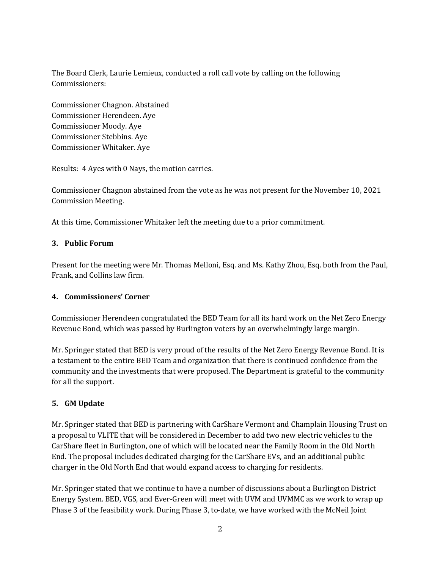The Board Clerk, Laurie Lemieux, conducted a roll call vote by calling on the following Commissioners:

Commissioner Chagnon. Abstained Commissioner Herendeen. Aye Commissioner Moody. Aye Commissioner Stebbins. Aye Commissioner Whitaker. Aye

Results: 4 Ayes with 0 Nays, the motion carries.

Commissioner Chagnon abstained from the vote as he was not present for the November 10, 2021 Commission Meeting.

At this time, Commissioner Whitaker left the meeting due to a prior commitment.

### **3. Public Forum**

Present for the meeting were Mr. Thomas Melloni, Esq. and Ms. Kathy Zhou, Esq. both from the Paul, Frank, and Collins law firm.

### **4. Commissioners' Corner**

Commissioner Herendeen congratulated the BED Team for all its hard work on the Net Zero Energy Revenue Bond, which was passed by Burlington voters by an overwhelmingly large margin.

Mr. Springer stated that BED is very proud of the results of the Net Zero Energy Revenue Bond. It is a testament to the entire BED Team and organization that there is continued confidence from the community and the investments that were proposed. The Department is grateful to the community for all the support.

## **5. GM Update**

Mr. Springer stated that BED is partnering with CarShare Vermont and Champlain Housing Trust on a proposal to VLITE that will be considered in December to add two new electric vehicles to the CarShare fleet in Burlington, one of which will be located near the Family Room in the Old North End. The proposal includes dedicated charging for the CarShare EVs, and an additional public charger in the Old North End that would expand access to charging for residents.

Mr. Springer stated that we continue to have a number of discussions about a Burlington District Energy System. BED, VGS, and Ever-Green will meet with UVM and UVMMC as we work to wrap up Phase 3 of the feasibility work. During Phase 3, to-date, we have worked with the McNeil Joint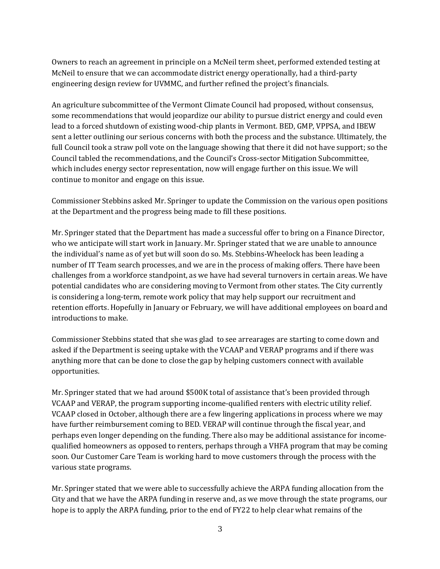Owners to reach an agreement in principle on a McNeil term sheet, performed extended testing at McNeil to ensure that we can accommodate district energy operationally, had a third-party engineering design review for UVMMC, and further refined the project's financials.

An agriculture subcommittee of the Vermont Climate Council had proposed, without consensus, some recommendations that would jeopardize our ability to pursue district energy and could even lead to a forced shutdown of existing wood-chip plants in Vermont. BED, GMP, VPPSA, and IBEW sent a letter outlining our serious concerns with both the process and the substance. Ultimately, the full Council took a straw poll vote on the language showing that there it did not have support; so the Council tabled the recommendations, and the Council's Cross-sector Mitigation Subcommittee, which includes energy sector representation, now will engage further on this issue. We will continue to monitor and engage on this issue.

Commissioner Stebbins asked Mr. Springer to update the Commission on the various open positions at the Department and the progress being made to fill these positions.

Mr. Springer stated that the Department has made a successful offer to bring on a Finance Director, who we anticipate will start work in January. Mr. Springer stated that we are unable to announce the individual's name as of yet but will soon do so. Ms. Stebbins-Wheelock has been leading a number of IT Team search processes, and we are in the process of making offers. There have been challenges from a workforce standpoint, as we have had several turnovers in certain areas. We have potential candidates who are considering moving to Vermont from other states. The City currently is considering a long-term, remote work policy that may help support our recruitment and retention efforts. Hopefully in January or February, we will have additional employees on board and introductions to make.

Commissioner Stebbins stated that she was glad to see arrearages are starting to come down and asked if the Department is seeing uptake with the VCAAP and VERAP programs and if there was anything more that can be done to close the gap by helping customers connect with available opportunities.

Mr. Springer stated that we had around \$500K total of assistance that's been provided through VCAAP and VERAP, the program supporting income-qualified renters with electric utility relief. VCAAP closed in October, although there are a few lingering applications in process where we may have further reimbursement coming to BED. VERAP will continue through the fiscal year, and perhaps even longer depending on the funding. There also may be additional assistance for incomequalified homeowners as opposed to renters, perhaps through a VHFA program that may be coming soon. Our Customer Care Team is working hard to move customers through the process with the various state programs.

Mr. Springer stated that we were able to successfully achieve the ARPA funding allocation from the City and that we have the ARPA funding in reserve and, as we move through the state programs, our hope is to apply the ARPA funding, prior to the end of FY22 to help clear what remains of the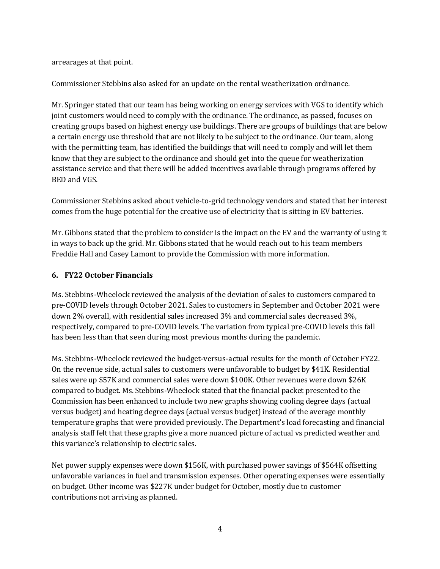#### arrearages at that point.

Commissioner Stebbins also asked for an update on the rental weatherization ordinance.

Mr. Springer stated that our team has being working on energy services with VGS to identify which joint customers would need to comply with the ordinance. The ordinance, as passed, focuses on creating groups based on highest energy use buildings. There are groups of buildings that are below a certain energy use threshold that are not likely to be subject to the ordinance. Our team, along with the permitting team, has identified the buildings that will need to comply and will let them know that they are subject to the ordinance and should get into the queue for weatherization assistance service and that there will be added incentives available through programs offered by BED and VGS.

Commissioner Stebbins asked about vehicle-to-grid technology vendors and stated that her interest comes from the huge potential for the creative use of electricity that is sitting in EV batteries.

Mr. Gibbons stated that the problem to consider is the impact on the EV and the warranty of using it in ways to back up the grid. Mr. Gibbons stated that he would reach out to his team members Freddie Hall and Casey Lamont to provide the Commission with more information.

### **6. FY22 October Financials**

Ms. Stebbins-Wheelock reviewed the analysis of the deviation of sales to customers compared to pre-COVID levels through October 2021. Sales to customers in September and October 2021 were down 2% overall, with residential sales increased 3% and commercial sales decreased 3%, respectively, compared to pre-COVID levels. The variation from typical pre-COVID levels this fall has been less than that seen during most previous months during the pandemic.

Ms. Stebbins-Wheelock reviewed the budget-versus-actual results for the month of October FY22. On the revenue side, actual sales to customers were unfavorable to budget by \$41K. Residential sales were up \$57K and commercial sales were down \$100K. Other revenues were down \$26K compared to budget. Ms. Stebbins-Wheelock stated that the financial packet presented to the Commission has been enhanced to include two new graphs showing cooling degree days (actual versus budget) and heating degree days (actual versus budget) instead of the average monthly temperature graphs that were provided previously. The Department's load forecasting and financial analysis staff felt that these graphs give a more nuanced picture of actual vs predicted weather and this variance's relationship to electric sales.

Net power supply expenses were down \$156K, with purchased power savings of \$564K offsetting unfavorable variances in fuel and transmission expenses. Other operating expenses were essentially on budget. Other income was \$227K under budget for October, mostly due to customer contributions not arriving as planned.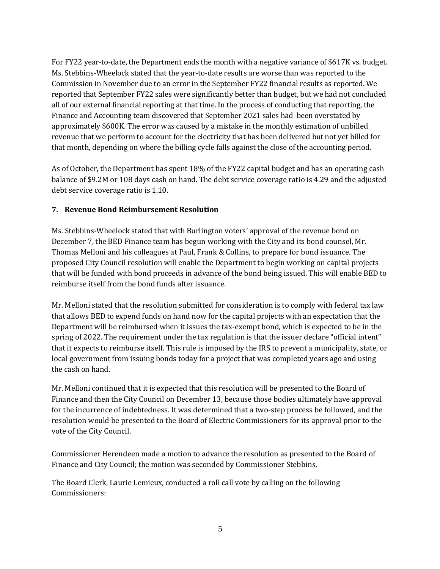For FY22 year-to-date, the Department ends the month with a negative variance of \$617K vs. budget. Ms. Stebbins-Wheelock stated that the year-to-date results are worse than was reported to the Commission in November due to an error in the September FY22 financial results as reported. We reported that September FY22 sales were significantly better than budget, but we had not concluded all of our external financial reporting at that time. In the process of conducting that reporting, the Finance and Accounting team discovered that September 2021 sales had been overstated by approximately \$600K. The error was caused by a mistake in the monthly estimation of unbilled revenue that we perform to account for the electricity that has been delivered but not yet billed for that month, depending on where the billing cycle falls against the close of the accounting period.

As of October, the Department has spent 18% of the FY22 capital budget and has an operating cash balance of \$9.2M or 108 days cash on hand. The debt service coverage ratio is 4.29 and the adjusted debt service coverage ratio is 1.10.

## **7. Revenue Bond Reimbursement Resolution**

Ms. Stebbins-Wheelock stated that with Burlington voters' approval of the revenue bond on December 7, the BED Finance team has begun working with the City and its bond counsel, Mr. Thomas Melloni and his colleagues at Paul, Frank & Collins, to prepare for bond issuance. The proposed City Council resolution will enable the Department to begin working on capital projects that will be funded with bond proceeds in advance of the bond being issued. This will enable BED to reimburse itself from the bond funds after issuance.

Mr. Melloni stated that the resolution submitted for consideration is to comply with federal tax law that allows BED to expend funds on hand now for the capital projects with an expectation that the Department will be reimbursed when it issues the tax-exempt bond, which is expected to be in the spring of 2022. The requirement under the tax regulation is that the issuer declare "official intent" that it expects to reimburse itself. This rule is imposed by the IRS to prevent a municipality, state, or local government from issuing bonds today for a project that was completed years ago and using the cash on hand.

Mr. Melloni continued that it is expected that this resolution will be presented to the Board of Finance and then the City Council on December 13, because those bodies ultimately have approval for the incurrence of indebtedness. It was determined that a two-step process be followed, and the resolution would be presented to the Board of Electric Commissioners for its approval prior to the vote of the City Council.

Commissioner Herendeen made a motion to advance the resolution as presented to the Board of Finance and City Council; the motion was seconded by Commissioner Stebbins.

The Board Clerk, Laurie Lemieux, conducted a roll call vote by calling on the following Commissioners: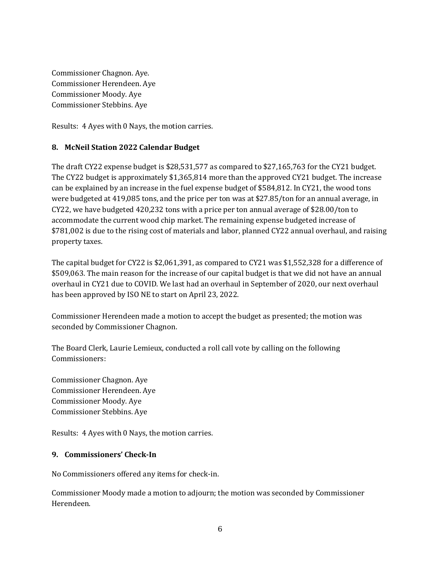Commissioner Chagnon. Aye. Commissioner Herendeen. Aye Commissioner Moody. Aye Commissioner Stebbins. Aye

Results: 4 Ayes with 0 Nays, the motion carries.

### **8. McNeil Station 2022 Calendar Budget**

The draft CY22 expense budget is \$28,531,577 as compared to \$27,165,763 for the CY21 budget. The CY22 budget is approximately \$1,365,814 more than the approved CY21 budget. The increase can be explained by an increase in the fuel expense budget of \$584,812. In CY21, the wood tons were budgeted at 419,085 tons, and the price per ton was at \$27.85/ton for an annual average, in CY22, we have budgeted 420,232 tons with a price per ton annual average of \$28.00/ton to accommodate the current wood chip market. The remaining expense budgeted increase of \$781,002 is due to the rising cost of materials and labor, planned CY22 annual overhaul, and raising property taxes.

The capital budget for CY22 is \$2,061,391, as compared to CY21 was \$1,552,328 for a difference of \$509,063. The main reason for the increase of our capital budget is that we did not have an annual overhaul in CY21 due to COVID. We last had an overhaul in September of 2020, our next overhaul has been approved by ISO NE to start on April 23, 2022.

Commissioner Herendeen made a motion to accept the budget as presented; the motion was seconded by Commissioner Chagnon.

The Board Clerk, Laurie Lemieux, conducted a roll call vote by calling on the following Commissioners:

Commissioner Chagnon. Aye Commissioner Herendeen. Aye Commissioner Moody. Aye Commissioner Stebbins. Aye

Results: 4 Ayes with 0 Nays, the motion carries.

### **9. Commissioners' Check-In**

No Commissioners offered any items for check-in.

Commissioner Moody made a motion to adjourn; the motion was seconded by Commissioner Herendeen.